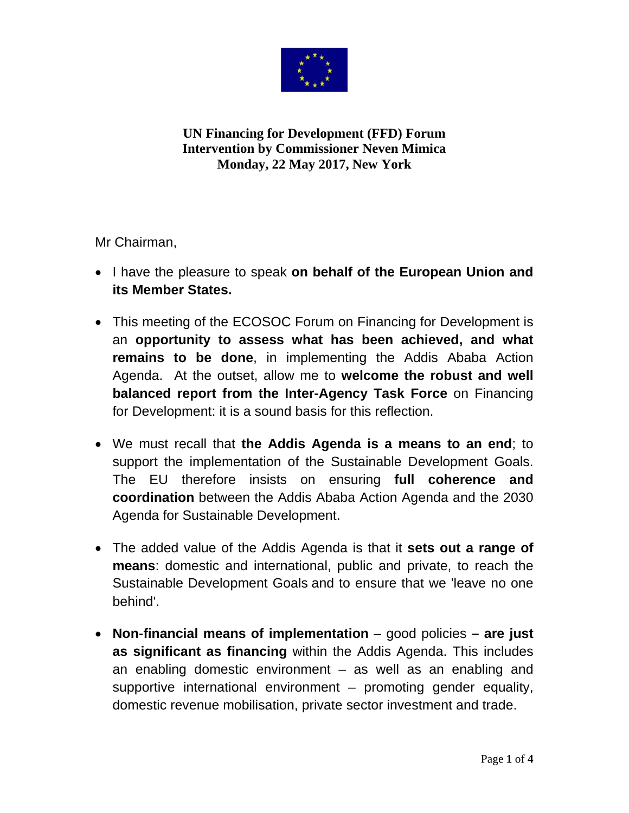

**UN Financing for Development (FFD) Forum Intervention by Commissioner Neven Mimica** Monday, 22 May 2017, New York

Mr Chairman.

- I have the pleasure to speak on behalf of the European Union and its Member States.
- This meeting of the ECOSOC Forum on Financing for Development is an opportunity to assess what has been achieved, and what remains to be done, in implementing the Addis Ababa Action Agenda. At the outset, allow me to welcome the robust and well balanced report from the Inter-Agency Task Force on Financing for Development: it is a sound basis for this reflection.
- We must recall that the Addis Agenda is a means to an end; to support the implementation of the Sustainable Development Goals. The EU therefore insists on ensuring full coherence and coordination between the Addis Ababa Action Agenda and the 2030 Agenda for Sustainable Development.
- The added value of the Addis Agenda is that it sets out a range of means: domestic and international, public and private, to reach the Sustainable Development Goals and to ensure that we 'leave no one behind'.
- Non-financial means of implementation  $-$  good policies  $-$  are just as significant as financing within the Addis Agenda. This includes an enabling domestic environment  $-$  as well as an enabling and supportive international environment – promoting gender equality, domestic revenue mobilisation, private sector investment and trade.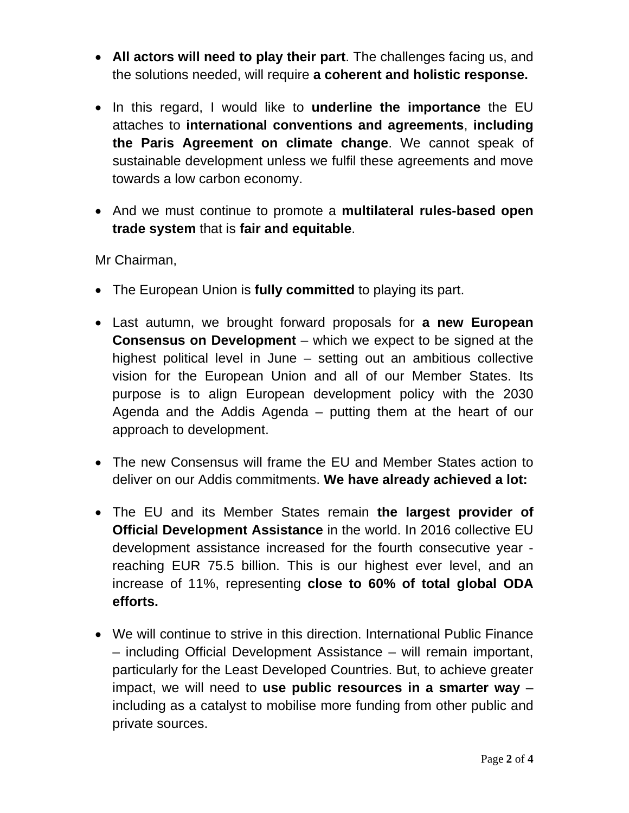- **All actors will need to play their part**. The challenges facing us, and the solutions needed, will require **a coherent and holistic response.**
- In this regard, I would like to **underline the importance** the EU attaches to **international conventions and agreements**, **including the Paris Agreement on climate change**. We cannot speak of sustainable development unless we fulfil these agreements and move towards a low carbon economy.
- And we must continue to promote a **multilateral rules-based open trade system** that is **fair and equitable**.

Mr Chairman,

- The European Union is **fully committed** to playing its part.
- Last autumn, we brought forward proposals for **a new European Consensus on Development** – which we expect to be signed at the highest political level in June – setting out an ambitious collective vision for the European Union and all of our Member States. Its purpose is to align European development policy with the 2030 Agenda and the Addis Agenda – putting them at the heart of our approach to development.
- The new Consensus will frame the EU and Member States action to deliver on our Addis commitments. **We have already achieved a lot:**
- The EU and its Member States remain **the largest provider of Official Development Assistance** in the world. In 2016 collective EU development assistance increased for the fourth consecutive year reaching EUR 75.5 billion. This is our highest ever level, and an increase of 11%, representing **close to 60% of total global ODA efforts.**
- We will continue to strive in this direction. International Public Finance – including Official Development Assistance – will remain important, particularly for the Least Developed Countries. But, to achieve greater impact, we will need to **use public resources in a smarter way** – including as a catalyst to mobilise more funding from other public and private sources.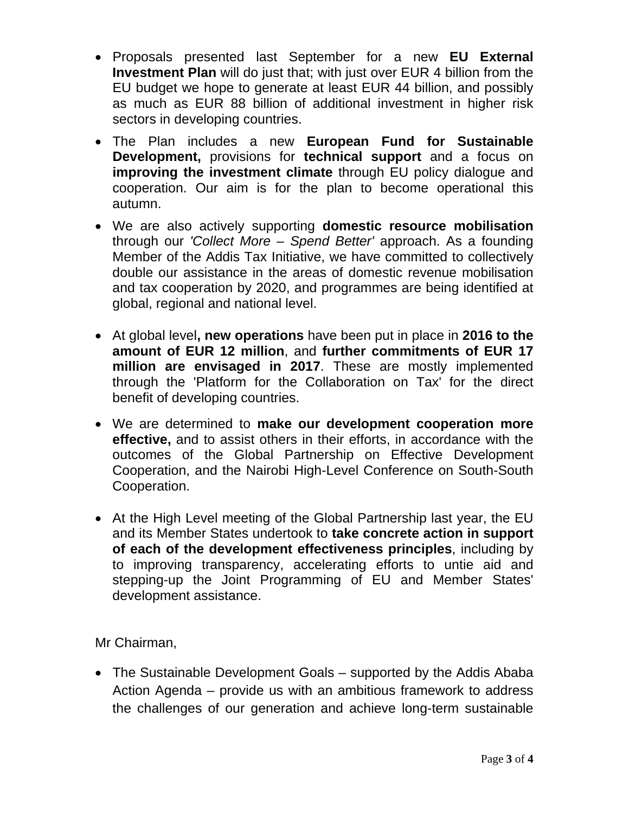- Proposals presented last September for a new **EU External Investment Plan** will do just that; with just over EUR 4 billion from the EU budget we hope to generate at least EUR 44 billion, and possibly as much as EUR 88 billion of additional investment in higher risk sectors in developing countries.
- The Plan includes a new **European Fund for Sustainable Development,** provisions for **technical support** and a focus on **improving the investment climate** through EU policy dialogue and cooperation. Our aim is for the plan to become operational this autumn.
- We are also actively supporting **domestic resource mobilisation** through our *'Collect More – Spend Better'* approach. As a founding Member of the Addis Tax Initiative, we have committed to collectively double our assistance in the areas of domestic revenue mobilisation and tax cooperation by 2020, and programmes are being identified at global, regional and national level.
- At global level**, new operations** have been put in place in **2016 to the amount of EUR 12 million**, and **further commitments of EUR 17 million are envisaged in 2017**. These are mostly implemented through the 'Platform for the Collaboration on Tax' for the direct benefit of developing countries.
- We are determined to **make our development cooperation more effective,** and to assist others in their efforts, in accordance with the outcomes of the Global Partnership on Effective Development Cooperation, and the Nairobi High-Level Conference on South-South Cooperation.
- At the High Level meeting of the Global Partnership last year, the EU and its Member States undertook to **take concrete action in support of each of the development effectiveness principles**, including by to improving transparency, accelerating efforts to untie aid and stepping-up the Joint Programming of EU and Member States' development assistance.

Mr Chairman,

• The Sustainable Development Goals – supported by the Addis Ababa Action Agenda – provide us with an ambitious framework to address the challenges of our generation and achieve long-term sustainable